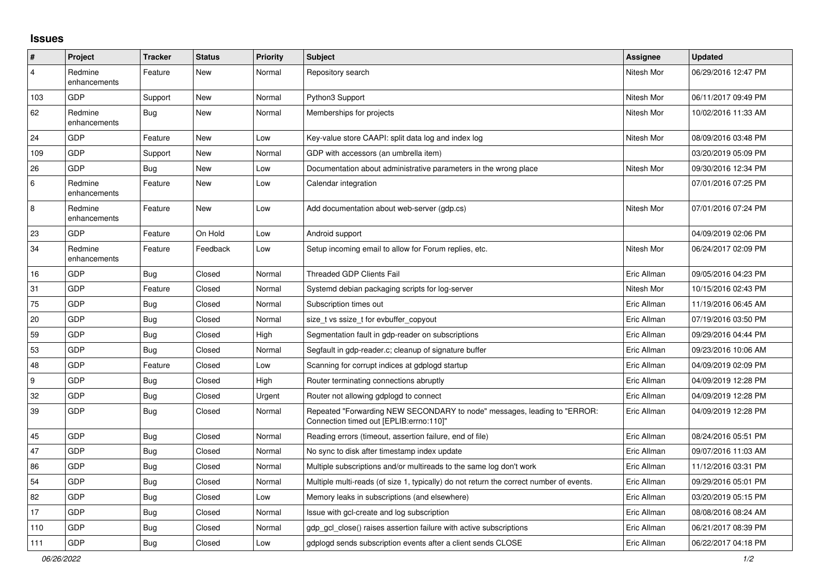## **Issues**

| $\vert$ #      | Project                 | <b>Tracker</b> | <b>Status</b> | <b>Priority</b> | <b>Subject</b>                                                                                                      | <b>Assignee</b> | <b>Updated</b>      |
|----------------|-------------------------|----------------|---------------|-----------------|---------------------------------------------------------------------------------------------------------------------|-----------------|---------------------|
| $\overline{4}$ | Redmine<br>enhancements | Feature        | New           | Normal          | Repository search                                                                                                   | Nitesh Mor      | 06/29/2016 12:47 PM |
| 103            | GDP                     | Support        | New           | Normal          | Python3 Support                                                                                                     | Nitesh Mor      | 06/11/2017 09:49 PM |
| 62             | Redmine<br>enhancements | Bug            | New           | Normal          | Memberships for projects                                                                                            | Nitesh Mor      | 10/02/2016 11:33 AM |
| 24             | GDP                     | Feature        | New           | Low             | Key-value store CAAPI: split data log and index log                                                                 | Nitesh Mor      | 08/09/2016 03:48 PM |
| 109            | GDP                     | Support        | New           | Normal          | GDP with accessors (an umbrella item)                                                                               |                 | 03/20/2019 05:09 PM |
| 26             | GDP                     | Bug            | New           | Low             | Documentation about administrative parameters in the wrong place                                                    | Nitesh Mor      | 09/30/2016 12:34 PM |
| 6              | Redmine<br>enhancements | Feature        | New           | Low             | Calendar integration                                                                                                |                 | 07/01/2016 07:25 PM |
| $\,8\,$        | Redmine<br>enhancements | Feature        | <b>New</b>    | Low             | Add documentation about web-server (gdp.cs)                                                                         | Nitesh Mor      | 07/01/2016 07:24 PM |
| 23             | GDP                     | Feature        | On Hold       | Low             | Android support                                                                                                     |                 | 04/09/2019 02:06 PM |
| 34             | Redmine<br>enhancements | Feature        | Feedback      | Low             | Setup incoming email to allow for Forum replies, etc.                                                               | Nitesh Mor      | 06/24/2017 02:09 PM |
| $16$           | GDP                     | Bug            | Closed        | Normal          | Threaded GDP Clients Fail                                                                                           | Eric Allman     | 09/05/2016 04:23 PM |
| 31             | GDP                     | Feature        | Closed        | Normal          | Systemd debian packaging scripts for log-server                                                                     | Nitesh Mor      | 10/15/2016 02:43 PM |
| 75             | GDP                     | <b>Bug</b>     | Closed        | Normal          | Subscription times out                                                                                              | Eric Allman     | 11/19/2016 06:45 AM |
| 20             | GDP                     | Bug            | Closed        | Normal          | size tvs ssize t for evbuffer copyout                                                                               | Eric Allman     | 07/19/2016 03:50 PM |
| 59             | GDP                     | Bug            | Closed        | High            | Segmentation fault in gdp-reader on subscriptions                                                                   | Eric Allman     | 09/29/2016 04:44 PM |
| 53             | GDP                     | Bug            | Closed        | Normal          | Segfault in gdp-reader.c; cleanup of signature buffer                                                               | Eric Allman     | 09/23/2016 10:06 AM |
| 48             | GDP                     | Feature        | Closed        | Low             | Scanning for corrupt indices at gdplogd startup                                                                     | Eric Allman     | 04/09/2019 02:09 PM |
| 9              | GDP                     | Bug            | Closed        | High            | Router terminating connections abruptly                                                                             | Eric Allman     | 04/09/2019 12:28 PM |
| 32             | GDP                     | <b>Bug</b>     | Closed        | Urgent          | Router not allowing gdplogd to connect                                                                              | Eric Allman     | 04/09/2019 12:28 PM |
| 39             | GDP                     | Bug            | Closed        | Normal          | Repeated "Forwarding NEW SECONDARY to node" messages, leading to "ERROR:<br>"Connection timed out [EPLIB:errno:110] | Eric Allman     | 04/09/2019 12:28 PM |
| 45             | GDP                     | <b>Bug</b>     | Closed        | Normal          | Reading errors (timeout, assertion failure, end of file)                                                            | Eric Allman     | 08/24/2016 05:51 PM |
| 47             | GDP                     | <b>Bug</b>     | Closed        | Normal          | No sync to disk after timestamp index update                                                                        | Eric Allman     | 09/07/2016 11:03 AM |
| 86             | GDP                     | Bug            | Closed        | Normal          | Multiple subscriptions and/or multireads to the same log don't work                                                 | Eric Allman     | 11/12/2016 03:31 PM |
| 54             | GDP                     | Bug            | Closed        | Normal          | Multiple multi-reads (of size 1, typically) do not return the correct number of events.                             | Eric Allman     | 09/29/2016 05:01 PM |
| 82             | GDP                     | Bug            | Closed        | Low             | Memory leaks in subscriptions (and elsewhere)                                                                       | Eric Allman     | 03/20/2019 05:15 PM |
| 17             | GDP                     | Bug            | Closed        | Normal          | Issue with gcl-create and log subscription                                                                          | Eric Allman     | 08/08/2016 08:24 AM |
| 110            | GDP                     | Bug            | Closed        | Normal          | gdp gcl close() raises assertion failure with active subscriptions                                                  | Eric Allman     | 06/21/2017 08:39 PM |
| 111            | GDP                     | <b>Bug</b>     | Closed        | Low             | adpload sends subscription events after a client sends CLOSE                                                        | Eric Allman     | 06/22/2017 04:18 PM |